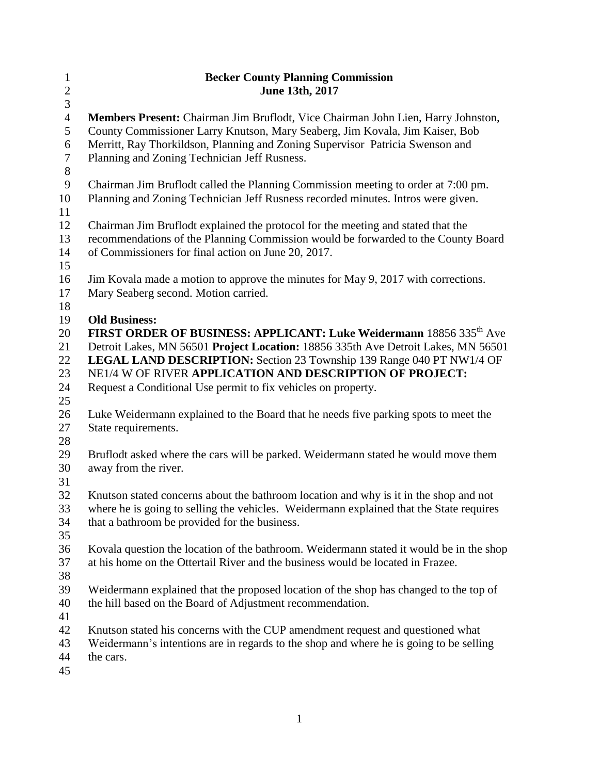| $\mathbf{1}$   | <b>Becker County Planning Commission</b>                                                |  |  |  |
|----------------|-----------------------------------------------------------------------------------------|--|--|--|
|                | June 13th, 2017                                                                         |  |  |  |
| $\frac{2}{3}$  |                                                                                         |  |  |  |
| $\overline{4}$ | Members Present: Chairman Jim Bruflodt, Vice Chairman John Lien, Harry Johnston,        |  |  |  |
| 5              | County Commissioner Larry Knutson, Mary Seaberg, Jim Kovala, Jim Kaiser, Bob            |  |  |  |
| 6              | Merritt, Ray Thorkildson, Planning and Zoning Supervisor Patricia Swenson and           |  |  |  |
| $\overline{7}$ | Planning and Zoning Technician Jeff Rusness.                                            |  |  |  |
| $8\,$          |                                                                                         |  |  |  |
| 9              | Chairman Jim Bruflodt called the Planning Commission meeting to order at 7:00 pm.       |  |  |  |
| 10             | Planning and Zoning Technician Jeff Rusness recorded minutes. Intros were given.        |  |  |  |
| 11             |                                                                                         |  |  |  |
| 12             | Chairman Jim Bruflodt explained the protocol for the meeting and stated that the        |  |  |  |
| 13             | recommendations of the Planning Commission would be forwarded to the County Board       |  |  |  |
| 14             | of Commissioners for final action on June 20, 2017.                                     |  |  |  |
| 15             |                                                                                         |  |  |  |
| 16             | Jim Kovala made a motion to approve the minutes for May 9, 2017 with corrections.       |  |  |  |
| 17             | Mary Seaberg second. Motion carried.                                                    |  |  |  |
| 18             |                                                                                         |  |  |  |
| 19             | <b>Old Business:</b>                                                                    |  |  |  |
| 20             | FIRST ORDER OF BUSINESS: APPLICANT: Luke Weidermann 18856 335 <sup>th</sup> Ave         |  |  |  |
| 21             | Detroit Lakes, MN 56501 Project Location: 18856 335th Ave Detroit Lakes, MN 56501       |  |  |  |
| 22             | LEGAL LAND DESCRIPTION: Section 23 Township 139 Range 040 PT NW1/4 OF                   |  |  |  |
| 23             | NE1/4 W OF RIVER APPLICATION AND DESCRIPTION OF PROJECT:                                |  |  |  |
| 24             | Request a Conditional Use permit to fix vehicles on property.                           |  |  |  |
| 25             |                                                                                         |  |  |  |
| 26             | Luke Weidermann explained to the Board that he needs five parking spots to meet the     |  |  |  |
| 27             | State requirements.                                                                     |  |  |  |
| 28             |                                                                                         |  |  |  |
| 29             | Bruflodt asked where the cars will be parked. Weidermann stated he would move them      |  |  |  |
| 30             | away from the river.                                                                    |  |  |  |
| 31             |                                                                                         |  |  |  |
| 32             | Knutson stated concerns about the bathroom location and why is it in the shop and not   |  |  |  |
| 33             | where he is going to selling the vehicles. Weidermann explained that the State requires |  |  |  |
| 34             | that a bathroom be provided for the business.                                           |  |  |  |
| 35             |                                                                                         |  |  |  |
| 36             | Kovala question the location of the bathroom. Weidermann stated it would be in the shop |  |  |  |
| 37             | at his home on the Ottertail River and the business would be located in Frazee.         |  |  |  |
| 38             |                                                                                         |  |  |  |
| 39             | Weidermann explained that the proposed location of the shop has changed to the top of   |  |  |  |
| 40             | the hill based on the Board of Adjustment recommendation.                               |  |  |  |
| 41             |                                                                                         |  |  |  |
| 42             | Knutson stated his concerns with the CUP amendment request and questioned what          |  |  |  |
| 43             | Weidermann's intentions are in regards to the shop and where he is going to be selling  |  |  |  |
| 44             | the cars.                                                                               |  |  |  |
| 45             |                                                                                         |  |  |  |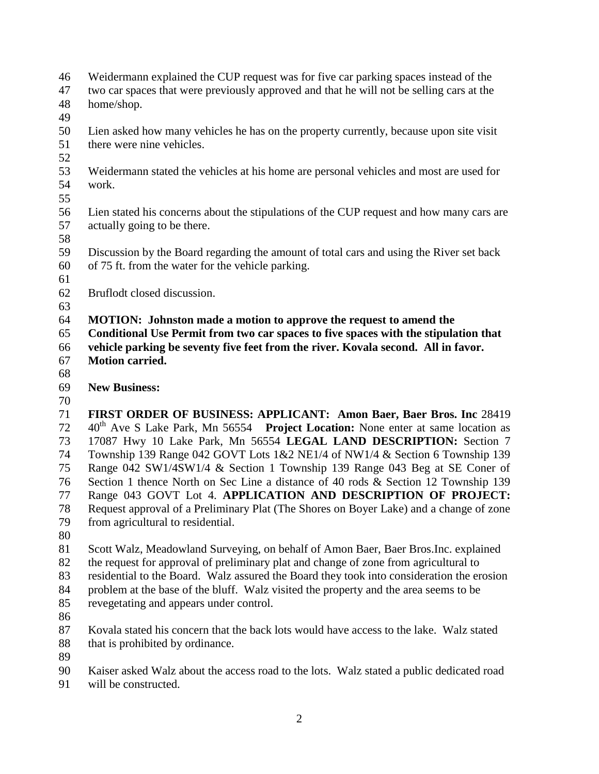- Weidermann explained the CUP request was for five car parking spaces instead of the
- two car spaces that were previously approved and that he will not be selling cars at the home/shop.
- 
- Lien asked how many vehicles he has on the property currently, because upon site visit there were nine vehicles.
- 
- Weidermann stated the vehicles at his home are personal vehicles and most are used for work.
- 
- Lien stated his concerns about the stipulations of the CUP request and how many cars are actually going to be there.
- 
- Discussion by the Board regarding the amount of total cars and using the River set back of 75 ft. from the water for the vehicle parking.
- 
- Bruflodt closed discussion.
- 
- **MOTION: Johnston made a motion to approve the request to amend the**
- **Conditional Use Permit from two car spaces to five spaces with the stipulation that vehicle parking be seventy five feet from the river. Kovala second. All in favor. Motion carried.**
- 
- **New Business:**
- 

 **FIRST ORDER OF BUSINESS: APPLICANT: Amon Baer, Baer Bros. Inc** 28419 th Ave S Lake Park, Mn 56554 **Project Location:** None enter at same location as 17087 Hwy 10 Lake Park, Mn 56554 **LEGAL LAND DESCRIPTION:** Section 7 Township 139 Range 042 GOVT Lots 1&2 NE1/4 of NW1/4 & Section 6 Township 139 Range 042 SW1/4SW1/4 & Section 1 Township 139 Range 043 Beg at SE Coner of Section 1 thence North on Sec Line a distance of 40 rods & Section 12 Township 139 Range 043 GOVT Lot 4. **APPLICATION AND DESCRIPTION OF PROJECT:**  Request approval of a Preliminary Plat (The Shores on Boyer Lake) and a change of zone from agricultural to residential.

 Scott Walz, Meadowland Surveying, on behalf of Amon Baer, Baer Bros.Inc. explained the request for approval of preliminary plat and change of zone from agricultural to

- residential to the Board. Walz assured the Board they took into consideration the erosion
- problem at the base of the bluff. Walz visited the property and the area seems to be
- revegetating and appears under control.
- 

 Kovala stated his concern that the back lots would have access to the lake. Walz stated 88 that is prohibited by ordinance.

Kaiser asked Walz about the access road to the lots. Walz stated a public dedicated road

will be constructed.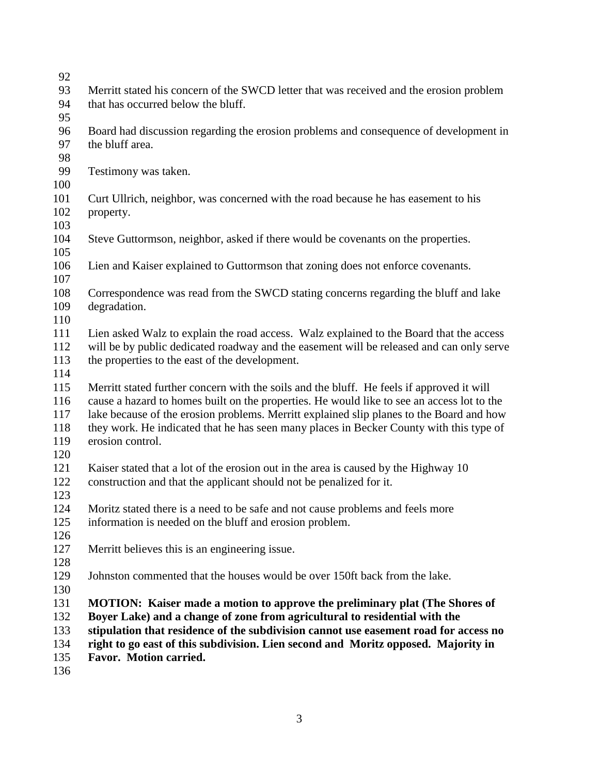- Merritt stated his concern of the SWCD letter that was received and the erosion problem that has occurred below the bluff. Board had discussion regarding the erosion problems and consequence of development in the bluff area. Testimony was taken. Curt Ullrich, neighbor, was concerned with the road because he has easement to his property. Steve Guttormson, neighbor, asked if there would be covenants on the properties. Lien and Kaiser explained to Guttormson that zoning does not enforce covenants. Correspondence was read from the SWCD stating concerns regarding the bluff and lake degradation. Lien asked Walz to explain the road access. Walz explained to the Board that the access will be by public dedicated roadway and the easement will be released and can only serve the properties to the east of the development. Merritt stated further concern with the soils and the bluff. He feels if approved it will cause a hazard to homes built on the properties. He would like to see an access lot to the lake because of the erosion problems. Merritt explained slip planes to the Board and how they work. He indicated that he has seen many places in Becker County with this type of erosion control. Kaiser stated that a lot of the erosion out in the area is caused by the Highway 10 construction and that the applicant should not be penalized for it. Moritz stated there is a need to be safe and not cause problems and feels more information is needed on the bluff and erosion problem. Merritt believes this is an engineering issue. Johnston commented that the houses would be over 150ft back from the lake. **MOTION: Kaiser made a motion to approve the preliminary plat (The Shores of Boyer Lake) and a change of zone from agricultural to residential with the stipulation that residence of the subdivision cannot use easement road for access no right to go east of this subdivision. Lien second and Moritz opposed. Majority in Favor. Motion carried.**
-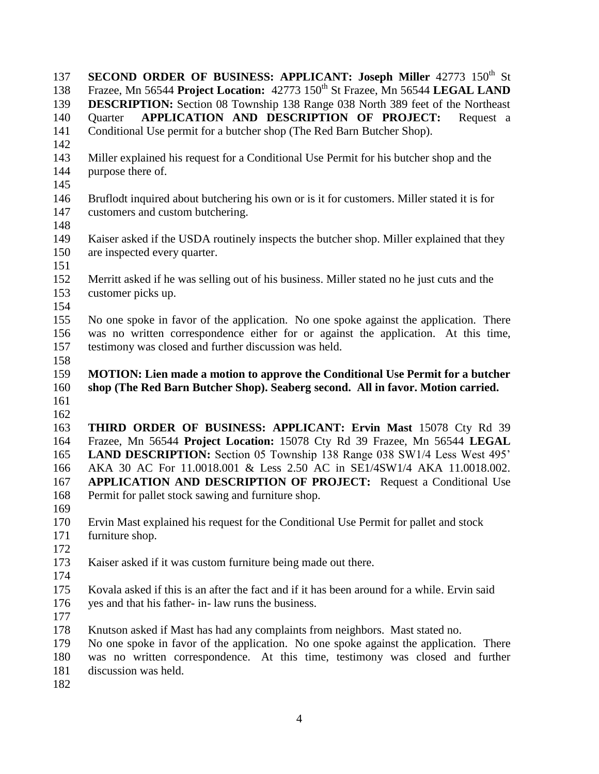**SECOND ORDER OF BUSINESS: APPLICANT: Joseph Miller** 42773 150<sup>th</sup> St 138 Frazee, Mn 56544 **Project Location:** 150<sup>th</sup> St Frazee, Mn 56544 **LEGAL LAND DESCRIPTION:** Section 08 Township 138 Range 038 North 389 feet of the Northeast Quarter **APPLICATION AND DESCRIPTION OF PROJECT:** Request a Conditional Use permit for a butcher shop (The Red Barn Butcher Shop). Miller explained his request for a Conditional Use Permit for his butcher shop and the purpose there of. Bruflodt inquired about butchering his own or is it for customers. Miller stated it is for customers and custom butchering. Kaiser asked if the USDA routinely inspects the butcher shop. Miller explained that they are inspected every quarter. Merritt asked if he was selling out of his business. Miller stated no he just cuts and the customer picks up. No one spoke in favor of the application. No one spoke against the application. There was no written correspondence either for or against the application. At this time, testimony was closed and further discussion was held. **MOTION: Lien made a motion to approve the Conditional Use Permit for a butcher shop (The Red Barn Butcher Shop). Seaberg second. All in favor. Motion carried. THIRD ORDER OF BUSINESS: APPLICANT: Ervin Mast** 15078 Cty Rd 39 Frazee, Mn 56544 **Project Location:** 15078 Cty Rd 39 Frazee, Mn 56544 **LEGAL LAND DESCRIPTION:** Section 05 Township 138 Range 038 SW1/4 Less West 495' AKA 30 AC For 11.0018.001 & Less 2.50 AC in SE1/4SW1/4 AKA 11.0018.002. **APPLICATION AND DESCRIPTION OF PROJECT:** Request a Conditional Use Permit for pallet stock sawing and furniture shop. Ervin Mast explained his request for the Conditional Use Permit for pallet and stock furniture shop. Kaiser asked if it was custom furniture being made out there. Kovala asked if this is an after the fact and if it has been around for a while. Ervin said yes and that his father- in- law runs the business. Knutson asked if Mast has had any complaints from neighbors. Mast stated no. No one spoke in favor of the application. No one spoke against the application. There was no written correspondence. At this time, testimony was closed and further discussion was held.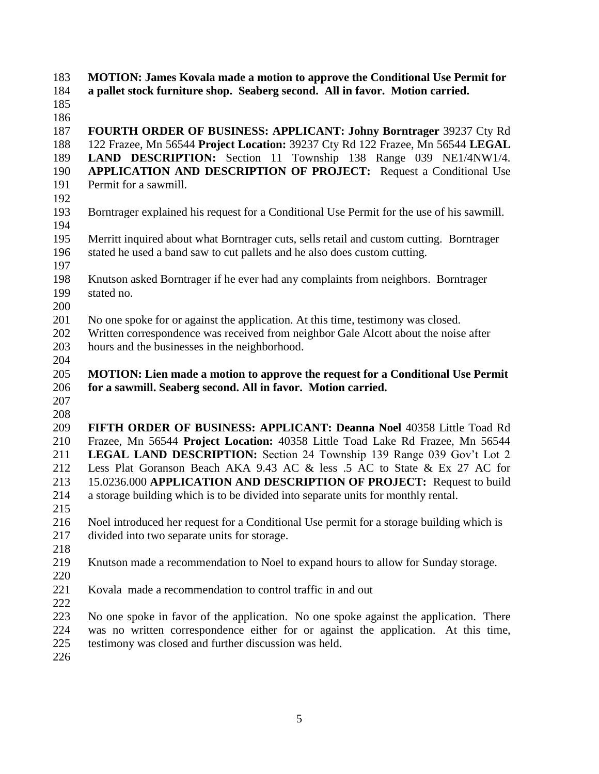**MOTION: James Kovala made a motion to approve the Conditional Use Permit for** 

- **a pallet stock furniture shop. Seaberg second. All in favor. Motion carried.**
- 

 **FOURTH ORDER OF BUSINESS: APPLICANT: Johny Borntrager** 39237 Cty Rd 122 Frazee, Mn 56544 **Project Location:** 39237 Cty Rd 122 Frazee, Mn 56544 **LEGAL LAND DESCRIPTION:** Section 11 Township 138 Range 039 NE1/4NW1/4. **APPLICATION AND DESCRIPTION OF PROJECT:** Request a Conditional Use Permit for a sawmill.

- 
- Borntrager explained his request for a Conditional Use Permit for the use of his sawmill.
- Merritt inquired about what Borntrager cuts, sells retail and custom cutting. Borntrager stated he used a band saw to cut pallets and he also does custom cutting.
- 
- Knutson asked Borntrager if he ever had any complaints from neighbors. Borntrager stated no.
- 
- No one spoke for or against the application. At this time, testimony was closed.
- Written correspondence was received from neighbor Gale Alcott about the noise after hours and the businesses in the neighborhood.
- 

## **MOTION: Lien made a motion to approve the request for a Conditional Use Permit for a sawmill. Seaberg second. All in favor. Motion carried.**

 

 **FIFTH ORDER OF BUSINESS: APPLICANT: Deanna Noel** 40358 Little Toad Rd Frazee, Mn 56544 **Project Location:** 40358 Little Toad Lake Rd Frazee, Mn 56544 **LEGAL LAND DESCRIPTION:** Section 24 Township 139 Range 039 Gov't Lot 2 Less Plat Goranson Beach AKA 9.43 AC & less .5 AC to State & Ex 27 AC for 15.0236.000 **APPLICATION AND DESCRIPTION OF PROJECT:** Request to build a storage building which is to be divided into separate units for monthly rental.

 Noel introduced her request for a Conditional Use permit for a storage building which is divided into two separate units for storage.

Knutson made a recommendation to Noel to expand hours to allow for Sunday storage.

 Kovala made a recommendation to control traffic in and out 

 No one spoke in favor of the application. No one spoke against the application. There was no written correspondence either for or against the application. At this time, testimony was closed and further discussion was held.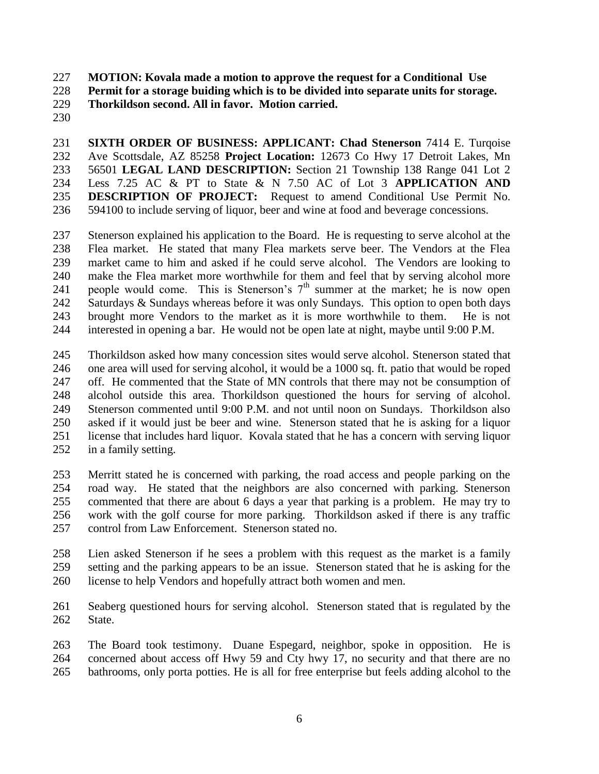**MOTION: Kovala made a motion to approve the request for a Conditional Use** 

**Permit for a storage buiding which is to be divided into separate units for storage.**

**Thorkildson second. All in favor. Motion carried.**

 **SIXTH ORDER OF BUSINESS: APPLICANT: Chad Stenerson** 7414 E. Turqoise Ave Scottsdale, AZ 85258 **Project Location:** 12673 Co Hwy 17 Detroit Lakes, Mn 56501 **LEGAL LAND DESCRIPTION:** Section 21 Township 138 Range 041 Lot 2 Less 7.25 AC & PT to State & N 7.50 AC of Lot 3 **APPLICATION AND DESCRIPTION OF PROJECT:** Request to amend Conditional Use Permit No. 594100 to include serving of liquor, beer and wine at food and beverage concessions.

 Stenerson explained his application to the Board. He is requesting to serve alcohol at the Flea market. He stated that many Flea markets serve beer. The Vendors at the Flea market came to him and asked if he could serve alcohol. The Vendors are looking to make the Flea market more worthwhile for them and feel that by serving alcohol more 241 people would come. This is Stenerson's  $7<sup>th</sup>$  summer at the market; he is now open 242 Saturdays & Sundays whereas before it was only Sundays. This option to open both days brought more Vendors to the market as it is more worthwhile to them. He is not interested in opening a bar. He would not be open late at night, maybe until 9:00 P.M.

 Thorkildson asked how many concession sites would serve alcohol. Stenerson stated that one area will used for serving alcohol, it would be a 1000 sq. ft. patio that would be roped off. He commented that the State of MN controls that there may not be consumption of alcohol outside this area. Thorkildson questioned the hours for serving of alcohol. Stenerson commented until 9:00 P.M. and not until noon on Sundays. Thorkildson also asked if it would just be beer and wine. Stenerson stated that he is asking for a liquor license that includes hard liquor. Kovala stated that he has a concern with serving liquor in a family setting.

 Merritt stated he is concerned with parking, the road access and people parking on the road way. He stated that the neighbors are also concerned with parking. Stenerson commented that there are about 6 days a year that parking is a problem. He may try to work with the golf course for more parking. Thorkildson asked if there is any traffic control from Law Enforcement. Stenerson stated no.

 Lien asked Stenerson if he sees a problem with this request as the market is a family setting and the parking appears to be an issue. Stenerson stated that he is asking for the license to help Vendors and hopefully attract both women and men.

 Seaberg questioned hours for serving alcohol. Stenerson stated that is regulated by the State.

 The Board took testimony. Duane Espegard, neighbor, spoke in opposition. He is concerned about access off Hwy 59 and Cty hwy 17, no security and that there are no bathrooms, only porta potties. He is all for free enterprise but feels adding alcohol to the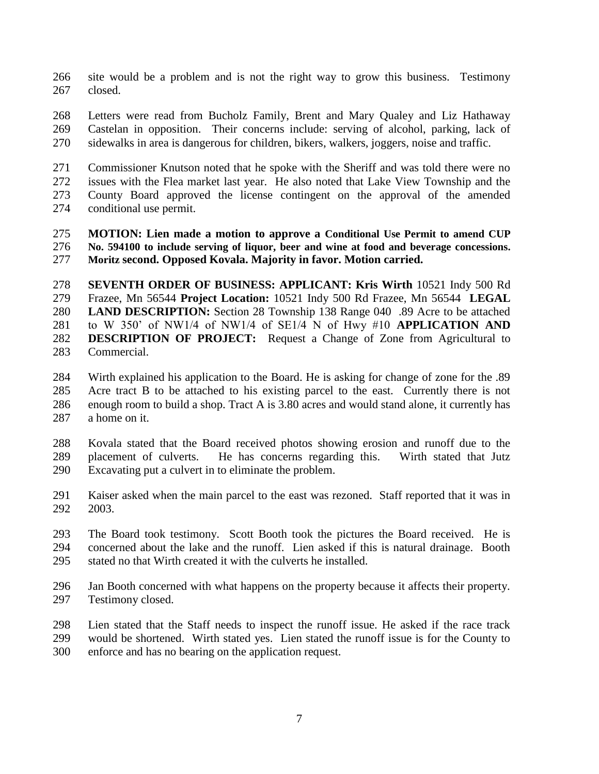- site would be a problem and is not the right way to grow this business. Testimony closed.
- Letters were read from Bucholz Family, Brent and Mary Qualey and Liz Hathaway Castelan in opposition. Their concerns include: serving of alcohol, parking, lack of sidewalks in area is dangerous for children, bikers, walkers, joggers, noise and traffic.
- Commissioner Knutson noted that he spoke with the Sheriff and was told there were no issues with the Flea market last year. He also noted that Lake View Township and the County Board approved the license contingent on the approval of the amended conditional use permit.
- **MOTION: Lien made a motion to approve a Conditional Use Permit to amend CUP No. 594100 to include serving of liquor, beer and wine at food and beverage concessions. Moritz second. Opposed Kovala. Majority in favor. Motion carried.**
- **SEVENTH ORDER OF BUSINESS: APPLICANT: Kris Wirth** 10521 Indy 500 Rd Frazee, Mn 56544 **Project Location:** 10521 Indy 500 Rd Frazee, Mn 56544 **LEGAL LAND DESCRIPTION:** Section 28 Township 138 Range 040 .89 Acre to be attached to W 350' of NW1/4 of NW1/4 of SE1/4 N of Hwy #10 **APPLICATION AND DESCRIPTION OF PROJECT:** Request a Change of Zone from Agricultural to Commercial.
- Wirth explained his application to the Board. He is asking for change of zone for the .89 Acre tract B to be attached to his existing parcel to the east. Currently there is not enough room to build a shop. Tract A is 3.80 acres and would stand alone, it currently has a home on it.
- Kovala stated that the Board received photos showing erosion and runoff due to the placement of culverts. He has concerns regarding this. Wirth stated that Jutz Excavating put a culvert in to eliminate the problem.
- Kaiser asked when the main parcel to the east was rezoned. Staff reported that it was in 2003.
- The Board took testimony. Scott Booth took the pictures the Board received. He is concerned about the lake and the runoff. Lien asked if this is natural drainage. Booth stated no that Wirth created it with the culverts he installed.
- Jan Booth concerned with what happens on the property because it affects their property. Testimony closed.
- Lien stated that the Staff needs to inspect the runoff issue. He asked if the race track would be shortened. Wirth stated yes. Lien stated the runoff issue is for the County to enforce and has no bearing on the application request.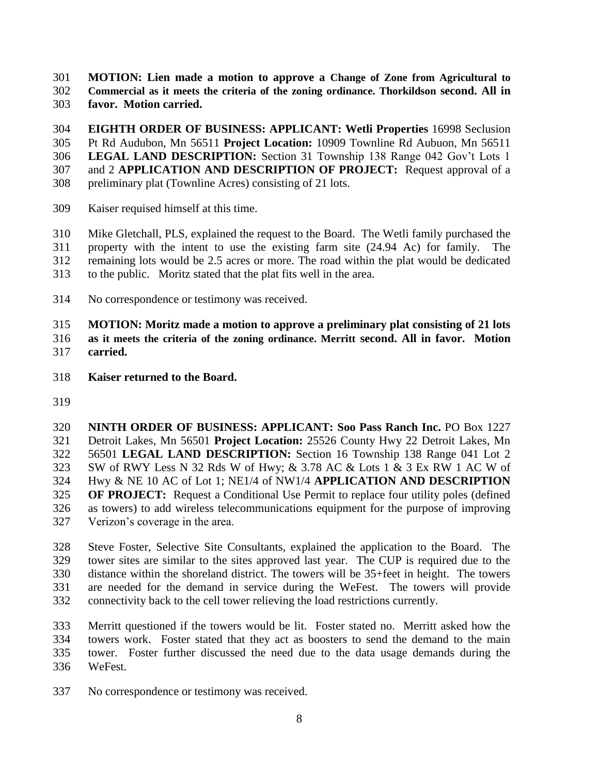**MOTION: Lien made a motion to approve a Change of Zone from Agricultural to** 

 **Commercial as it meets the criteria of the zoning ordinance. Thorkildson second. All in favor. Motion carried.** 

 **EIGHTH ORDER OF BUSINESS: APPLICANT: Wetli Properties** 16998 Seclusion Pt Rd Audubon, Mn 56511 **Project Location:** 10909 Townline Rd Aubuon, Mn 56511 **LEGAL LAND DESCRIPTION:** Section 31 Township 138 Range 042 Gov't Lots 1 and 2 **APPLICATION AND DESCRIPTION OF PROJECT:** Request approval of a preliminary plat (Townline Acres) consisting of 21 lots.

Kaiser requised himself at this time.

 Mike Gletchall, PLS, explained the request to the Board. The Wetli family purchased the property with the intent to use the existing farm site (24.94 Ac) for family. The remaining lots would be 2.5 acres or more. The road within the plat would be dedicated to the public. Moritz stated that the plat fits well in the area.

No correspondence or testimony was received.

 **MOTION: Moritz made a motion to approve a preliminary plat consisting of 21 lots as it meets the criteria of the zoning ordinance. Merritt second. All in favor. Motion carried.** 

- **Kaiser returned to the Board.**
- 

 **NINTH ORDER OF BUSINESS: APPLICANT: Soo Pass Ranch Inc.** PO Box 1227 Detroit Lakes, Mn 56501 **Project Location:** 25526 County Hwy 22 Detroit Lakes, Mn 56501 **LEGAL LAND DESCRIPTION:** Section 16 Township 138 Range 041 Lot 2 SW of RWY Less N 32 Rds W of Hwy; & 3.78 AC & Lots 1 & 3 Ex RW 1 AC W of Hwy & NE 10 AC of Lot 1; NE1/4 of NW1/4 **APPLICATION AND DESCRIPTION OF PROJECT:** Request a Conditional Use Permit to replace four utility poles (defined as towers) to add wireless telecommunications equipment for the purpose of improving Verizon's coverage in the area.

 Steve Foster, Selective Site Consultants, explained the application to the Board. The tower sites are similar to the sites approved last year. The CUP is required due to the distance within the shoreland district. The towers will be 35+feet in height. The towers are needed for the demand in service during the WeFest. The towers will provide connectivity back to the cell tower relieving the load restrictions currently.

 Merritt questioned if the towers would be lit. Foster stated no. Merritt asked how the towers work. Foster stated that they act as boosters to send the demand to the main tower. Foster further discussed the need due to the data usage demands during the WeFest.

No correspondence or testimony was received.